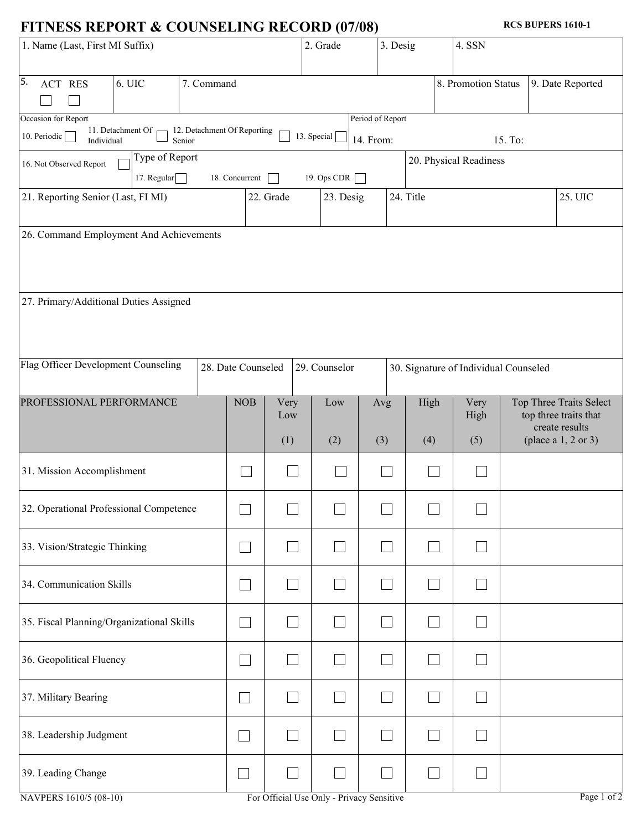## **FITNESS REPORT & COUNSELING RECORD (07/08)**

**RCS BUPERS 1610-1**

| 1. Name (Last, First MI Suffix)                                            |                                         |            |                             |             | 2. Grade                           | 3. Desig                      |                                       | 4. SSN                                                             |         |                       |  |  |  |  |
|----------------------------------------------------------------------------|-----------------------------------------|------------|-----------------------------|-------------|------------------------------------|-------------------------------|---------------------------------------|--------------------------------------------------------------------|---------|-----------------------|--|--|--|--|
| 5.<br>ACT RES                                                              | 6. UIC                                  | 7. Command |                             |             |                                    |                               |                                       | 8. Promotion Status                                                |         | 9. Date Reported      |  |  |  |  |
| Occasion for Report<br>10. Periodic<br>Individual                          | 11. Detachment Of $\sqsubset$<br>Senior |            | 12. Detachment Of Reporting |             | 13. Special                        | Period of Report<br>14. From: |                                       |                                                                    | 15. To: |                       |  |  |  |  |
| Type of Report<br>16. Not Observed Report<br>17. Regular<br>18. Concurrent |                                         |            |                             |             | 19. Ops CDR                        |                               | 20. Physical Readiness                |                                                                    |         |                       |  |  |  |  |
| 21. Reporting Senior (Last, FI MI)                                         |                                         |            |                             | 22. Grade   | 23. Desig                          |                               | 24. Title                             |                                                                    |         | 25. UIC               |  |  |  |  |
| 26. Command Employment And Achievements                                    |                                         |            |                             |             |                                    |                               |                                       |                                                                    |         |                       |  |  |  |  |
| 27. Primary/Additional Duties Assigned                                     |                                         |            |                             |             |                                    |                               |                                       |                                                                    |         |                       |  |  |  |  |
| Flag Officer Development Counseling                                        |                                         |            | 28. Date Counseled          |             | 29. Counselor                      |                               | 30. Signature of Individual Counseled |                                                                    |         |                       |  |  |  |  |
| PROFESSIONAL PERFORMANCE                                                   |                                         |            | <b>NOB</b>                  | Very<br>Low | High<br>Very<br>Low<br>Avg<br>High |                               |                                       | Top Three Traits Select<br>top three traits that<br>create results |         |                       |  |  |  |  |
|                                                                            |                                         |            |                             | (1)         | (2)                                | (3)                           | (4)                                   | (5)                                                                |         | (place a $1, 2$ or 3) |  |  |  |  |
| 31. Mission Accomplishment                                                 |                                         |            |                             |             |                                    |                               |                                       |                                                                    |         |                       |  |  |  |  |
|                                                                            |                                         |            |                             |             |                                    |                               |                                       |                                                                    |         |                       |  |  |  |  |
| 32. Operational Professional Competence                                    |                                         |            |                             |             |                                    |                               |                                       |                                                                    |         |                       |  |  |  |  |
| 33. Vision/Strategic Thinking                                              |                                         |            |                             |             |                                    |                               |                                       |                                                                    |         |                       |  |  |  |  |
| 34. Communication Skills                                                   |                                         |            |                             |             |                                    |                               |                                       |                                                                    |         |                       |  |  |  |  |
| 35. Fiscal Planning/Organizational Skills                                  |                                         |            |                             |             |                                    |                               |                                       |                                                                    |         |                       |  |  |  |  |
| 36. Geopolitical Fluency                                                   |                                         |            |                             |             |                                    |                               |                                       |                                                                    |         |                       |  |  |  |  |
| 37. Military Bearing                                                       |                                         |            |                             |             |                                    |                               |                                       |                                                                    |         |                       |  |  |  |  |
| 38. Leadership Judgment                                                    |                                         |            |                             |             |                                    |                               |                                       |                                                                    |         |                       |  |  |  |  |